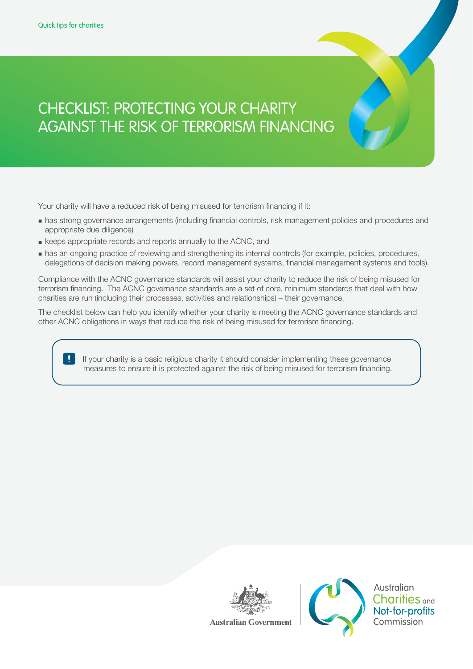# CHECKLIST: PROTECTING YOUR CHARITY AGAINST THE RISK OF TERRORISM FINANCING

Your charity will have a reduced risk of being misused for terrorism financing if it:

- **■** has strong governance arrangements (including financial controls, risk management policies and procedures and appropriate due diligence)
- **■** keeps appropriate records and reports annually to the ACNC, and
- **■** has an ongoing practice of reviewing and strengthening its internal controls (for example, policies, procedures, delegations of decision making powers, record management systems, financial management systems and tools).

Compliance with the ACNC governance standards will assist your charity to reduce the risk of being misused for terrorism financing. The ACNC governance standards are a set of core, minimum standards that deal with how charities are run (including their processes, activities and relationships) – their governance.

The checklist below can help you identify whether your charity is meeting the ACNC governance standards and other ACNC obligations in ways that reduce the risk of being misused for terrorism financing.

> If your charity is a basic religious charity it should consider implementing these governance measures to ensure it is protected against the risk of being misused for terrorism financing.





**Australian Charities** and Not-for-profits Commission

**Australian Government**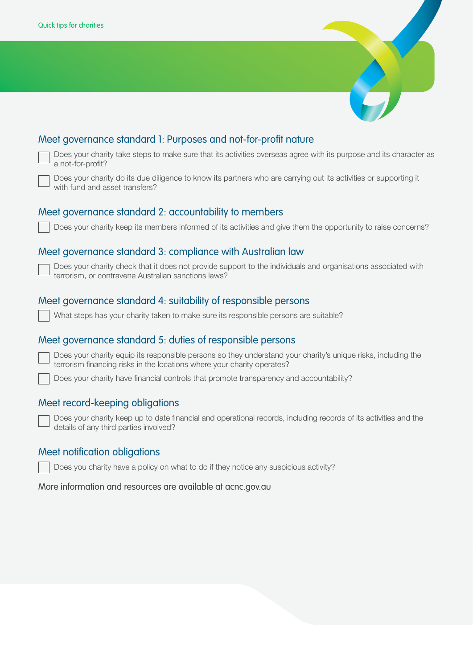

| Does your charity take steps to make sure that its activities overseas agree with its purpose and its character as<br>a not-for-profit?                                                  |
|------------------------------------------------------------------------------------------------------------------------------------------------------------------------------------------|
| Does your charity do its due diligence to know its partners who are carrying out its activities or supporting it<br>with fund and asset transfers?                                       |
| Meet governance standard 2: accountability to members                                                                                                                                    |
| Does your charity keep its members informed of its activities and give them the opportunity to raise concerns?                                                                           |
| Meet governance standard 3: compliance with Australian law                                                                                                                               |
| Does your charity check that it does not provide support to the individuals and organisations associated with<br>terrorism, or contravene Australian sanctions laws?                     |
| Meet governance standard 4: suitability of responsible persons                                                                                                                           |
| What steps has your charity taken to make sure its responsible persons are suitable?                                                                                                     |
| Meet governance standard 5: duties of responsible persons                                                                                                                                |
| Does your charity equip its responsible persons so they understand your charity's unique risks, including the<br>terrorism financing risks in the locations where your charity operates? |
| Does your charity have financial controls that promote transparency and accountability?                                                                                                  |
| Meet record-keeping obligations                                                                                                                                                          |
| Does your charity keep up to date financial and operational records, including records of its activities and the<br>details of any third parties involved?                               |
| Meet notification obligations                                                                                                                                                            |
| Does you charity have a policy on what to do if they notice any suspicious activity?                                                                                                     |

More information and resources are available at acnc.gov.au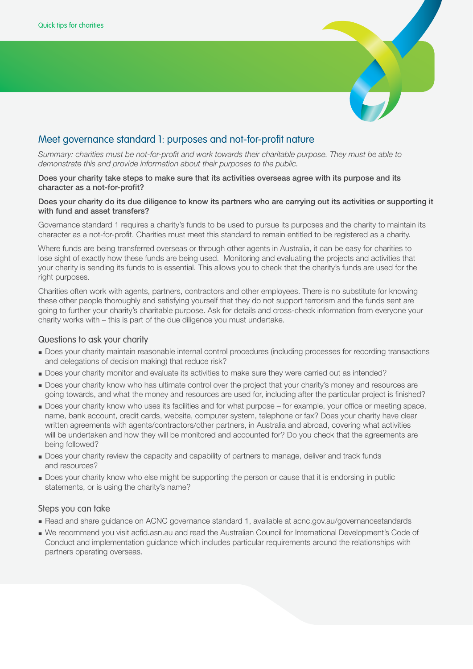

# Meet governance standard 1: purposes and not-for-profit nature

*Summary: charities must be not-for-profit and work towards their charitable purpose. They must be able to demonstrate this and provide information about their purposes to the public.*

### Does your charity take steps to make sure that its activities overseas agree with its purpose and its character as a not-for-profit?

### Does your charity do its due diligence to know its partners who are carrying out its activities or supporting it with fund and asset transfers?

Governance standard 1 requires a charity's funds to be used to pursue its purposes and the charity to maintain its character as a not-for-profit. Charities must meet this standard to remain entitled to be registered as a charity.

Where funds are being transferred overseas or through other agents in Australia, it can be easy for charities to lose sight of exactly how these funds are being used. Monitoring and evaluating the projects and activities that your charity is sending its funds to is essential. This allows you to check that the charity's funds are used for the right purposes.

Charities often work with agents, partners, contractors and other employees. There is no substitute for knowing these other people thoroughly and satisfying yourself that they do not support terrorism and the funds sent are going to further your charity's charitable purpose. Ask for details and cross-check information from everyone your charity works with – this is part of the due diligence you must undertake.

# Questions to ask your charity

- **■** Does your charity maintain reasonable internal control procedures (including processes for recording transactions and delegations of decision making) that reduce risk?
- **■** Does your charity monitor and evaluate its activities to make sure they were carried out as intended?
- **■** Does your charity know who has ultimate control over the project that your charity's money and resources are going towards, and what the money and resources are used for, including after the particular project is finished?
- **■** Does your charity know who uses its facilities and for what purpose for example, your office or meeting space, name, bank account, credit cards, website, computer system, telephone or fax? Does your charity have clear written agreements with agents/contractors/other partners, in Australia and abroad, covering what activities will be undertaken and how they will be monitored and accounted for? Do you check that the agreements are being followed?
- **■** Does your charity review the capacity and capability of partners to manage, deliver and track funds and resources?
- **■** Does your charity know who else might be supporting the person or cause that it is endorsing in public statements, or is using the charity's name?

- **■** Read and share guidance on ACNC governance standard 1, available at acnc.gov.au/governancestandards
- **■** We recommend you visit acfid.asn.au and read the Australian Council for International Development's Code of Conduct and implementation guidance which includes particular requirements around the relationships with partners operating overseas.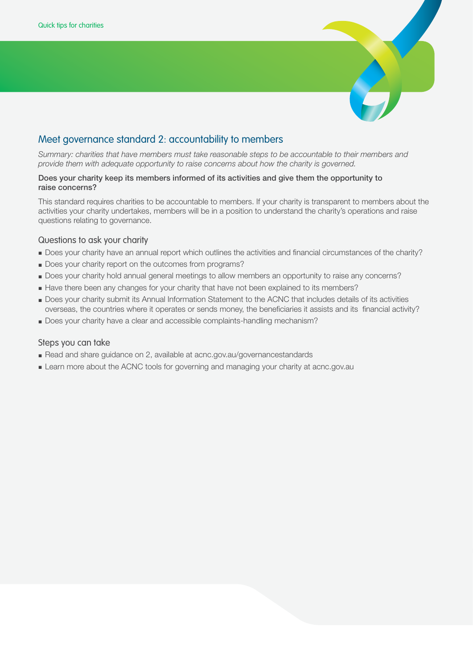

# Meet governance standard 2: accountability to members

*Summary: charities that have members must take reasonable steps to be accountable to their members and provide them with adequate opportunity to raise concerns about how the charity is governed.* 

# Does your charity keep its members informed of its activities and give them the opportunity to raise concerns?

This standard requires charities to be accountable to members. If your charity is transparent to members about the activities your charity undertakes, members will be in a position to understand the charity's operations and raise questions relating to governance.

# Questions to ask your charity

- **■** Does your charity have an annual report which outlines the activities and financial circumstances of the charity?
- **■** Does your charity report on the outcomes from programs?
- **■** Does your charity hold annual general meetings to allow members an opportunity to raise any concerns?
- **■** Have there been any changes for your charity that have not been explained to its members?
- **■** Does your charity submit its Annual Information Statement to the ACNC that includes details of its activities overseas, the countries where it operates or sends money, the beneficiaries it assists and its financial activity?
- **■** Does your charity have a clear and accessible complaints-handling mechanism?

- Read and share guidance on 2, available at acnc.gov.au/governancestandards
- **■** Learn more about the ACNC tools for governing and managing your charity at acnc.gov.au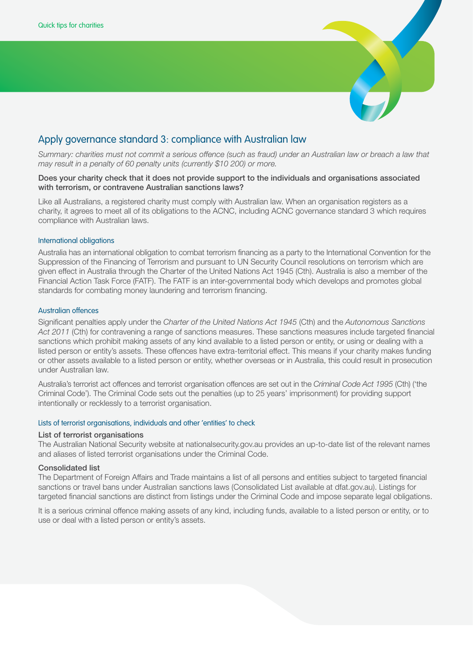

# Apply governance standard 3: compliance with Australian law

*Summary: charities must not commit a serious offence (such as fraud) under an Australian law or breach a law that may result in a penalty of 60 penalty units (currently \$10 200) or more.*

### Does your charity check that it does not provide support to the individuals and organisations associated with terrorism, or contravene Australian sanctions laws?

Like all Australians, a registered charity must comply with Australian law. When an organisation registers as a charity, it agrees to meet all of its obligations to the ACNC, including ACNC governance standard 3 which requires compliance with Australian laws.

### International obligations

Australia has an international obligation to combat terrorism financing as a party to the International Convention for the Suppression of the Financing of Terrorism and pursuant to UN Security Council resolutions on terrorism which are given effect in Australia through the Charter of the United Nations Act 1945 (Cth). Australia is also a member of the Financial Action Task Force (FATF). The FATF is an inter-governmental body which develops and promotes global standards for combating money laundering and terrorism financing.

### Australian offences

Significant penalties apply under the *Charter of the United Nations Act 1945* (Cth) and the *Autonomous Sanctions Act 2011* (Cth) for contravening a range of sanctions measures. These sanctions measures include targeted financial sanctions which prohibit making assets of any kind available to a listed person or entity, or using or dealing with a listed person or entity's assets. These offences have extra-territorial effect. This means if your charity makes funding or other assets available to a listed person or entity, whether overseas or in Australia, this could result in prosecution under Australian law.

Australia's terrorist act offences and terrorist organisation offences are set out in the *Criminal Code Act 1995* (Cth) ('the Criminal Code'). The Criminal Code sets out the penalties (up to 25 years' imprisonment) for providing support intentionally or recklessly to a terrorist organisation.

### Lists of terrorist organisations, individuals and other 'entities' to check

### List of terrorist organisations

The Australian National Security website at nationalsecurity.gov.au provides an up-to-date list of the relevant names and aliases of listed terrorist organisations under the Criminal Code.

### Consolidated list

The Department of Foreign Affairs and Trade maintains a list of all persons and entities subject to targeted financial sanctions or travel bans under Australian sanctions laws (Consolidated List available at dfat.gov.au). Listings for targeted financial sanctions are distinct from listings under the Criminal Code and impose separate legal obligations.

It is a serious criminal offence making assets of any kind, including funds, available to a listed person or entity, or to use or deal with a listed person or entity's assets.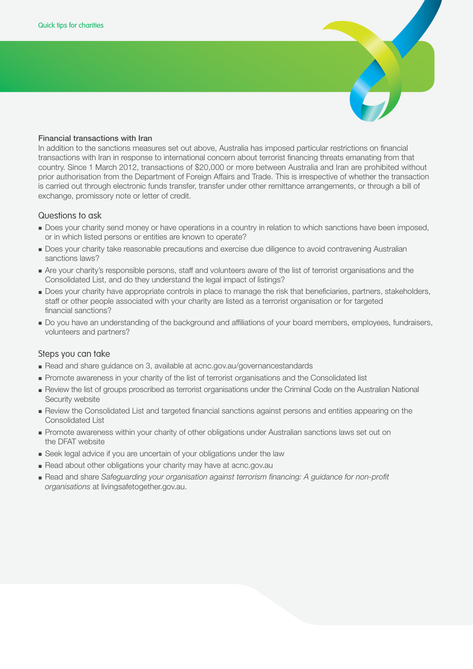### Financial transactions with Iran

In addition to the sanctions measures set out above, Australia has imposed particular restrictions on financial transactions with Iran in response to international concern about terrorist financing threats emanating from that country. Since 1 March 2012, transactions of \$20,000 or more between Australia and Iran are prohibited without prior authorisation from the Department of Foreign Affairs and Trade. This is irrespective of whether the transaction is carried out through electronic funds transfer, transfer under other remittance arrangements, or through a bill of exchange, promissory note or letter of credit.

# Questions to ask

- **■** Does your charity send money or have operations in a country in relation to which sanctions have been imposed, or in which listed persons or entities are known to operate?
- **■** Does your charity take reasonable precautions and exercise due diligence to avoid contravening Australian sanctions laws?
- **■** Are your charity's responsible persons, staff and volunteers aware of the list of terrorist organisations and the Consolidated List, and do they understand the legal impact of listings?
- **■** Does your charity have appropriate controls in place to manage the risk that beneficiaries, partners, stakeholders, staff or other people associated with your charity are listed as a terrorist organisation or for targeted financial sanctions?
- **■** Do you have an understanding of the background and affiliations of your board members, employees, fundraisers, volunteers and partners?

- **■** Read and share guidance on 3, available at acnc.gov.au/governancestandards
- **■** Promote awareness in your charity of the list of terrorist organisations and the Consolidated list
- **■** Review the list of groups proscribed as terrorist organisations under the Criminal Code on the Australian National Security website
- **■** Review the Consolidated List and targeted financial sanctions against persons and entities appearing on the Consolidated List
- **■** Promote awareness within your charity of other obligations under Australian sanctions laws set out on the DFAT website
- **■** Seek legal advice if you are uncertain of your obligations under the law
- Read about other obligations your charity may have at acnc.gov.au
- **■** Read and share *Safeguarding your organisation against terrorism financing: A guidance for non-profit organisations* at livingsafetogether.gov.au.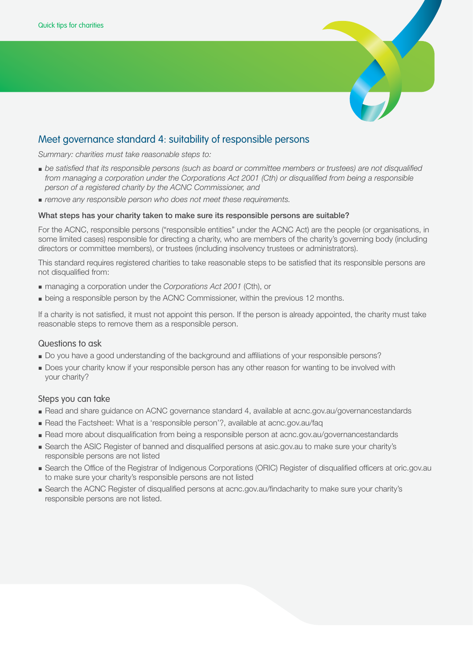

# Meet governance standard 4: suitability of responsible persons

*Summary: charities must take reasonable steps to:*

- **■** *be satisfied that its responsible persons (such as board or committee members or trustees) are not disqualified from managing a corporation under the Corporations Act 2001 (Cth) or disqualified from being a responsible person of a registered charity by the ACNC Commissioner, and*
- *remove any responsible person who does not meet these requirements.*

### What steps has your charity taken to make sure its responsible persons are suitable?

For the ACNC, responsible persons ("responsible entities" under the ACNC Act) are the people (or organisations, in some limited cases) responsible for directing a charity, who are members of the charity's governing body (including directors or committee members), or trustees (including insolvency trustees or administrators).

This standard requires registered charities to take reasonable steps to be satisfied that its responsible persons are not disqualified from:

- managing a corporation under the *Corporations Act 2001* (Cth), or
- **■** being a responsible person by the ACNC Commissioner, within the previous 12 months.

If a charity is not satisfied, it must not appoint this person. If the person is already appointed, the charity must take reasonable steps to remove them as a responsible person.

# Questions to ask

- **■** Do you have a good understanding of the background and affiliations of your responsible persons?
- **■** Does your charity know if your responsible person has any other reason for wanting to be involved with your charity?

- **■** Read and share guidance on ACNC governance standard 4, available at acnc.gov.au/governancestandards
- **■** Read the Factsheet: What is a 'responsible person'?, available at acnc.gov.au/faq
- **■** Read more about disqualification from being a responsible person at acnc.gov.au/governancestandards
- **■** Search the ASIC Register of banned and disqualified persons at asic.gov.au to make sure your charity's responsible persons are not listed
- **■** Search the Office of the Registrar of Indigenous Corporations (ORIC) Register of disqualified officers at oric.gov.au to make sure your charity's responsible persons are not listed
- **■** Search the ACNC Register of disqualified persons at acnc.gov.au/findacharity to make sure your charity's responsible persons are not listed.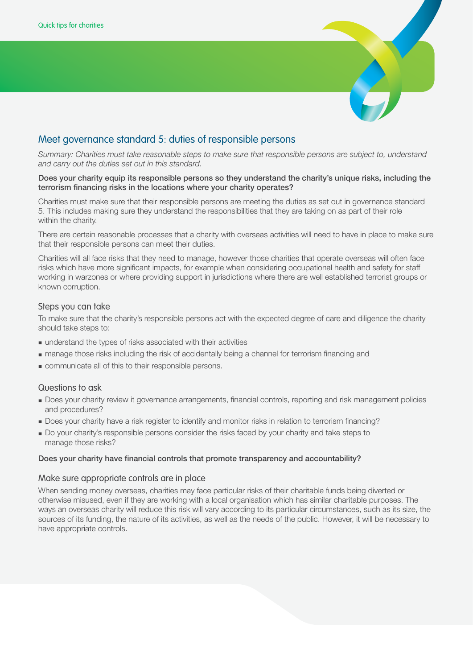

# Meet governance standard 5: duties of responsible persons

*Summary: Charities must take reasonable steps to make sure that responsible persons are subject to, understand and carry out the duties set out in this standard.*

### Does your charity equip its responsible persons so they understand the charity's unique risks, including the terrorism financing risks in the locations where your charity operates?

Charities must make sure that their responsible persons are meeting the duties as set out in governance standard 5. This includes making sure they understand the responsibilities that they are taking on as part of their role within the charity.

There are certain reasonable processes that a charity with overseas activities will need to have in place to make sure that their responsible persons can meet their duties.

Charities will all face risks that they need to manage, however those charities that operate overseas will often face risks which have more significant impacts, for example when considering occupational health and safety for staff working in warzones or where providing support in jurisdictions where there are well established terrorist groups or known corruption.

# Steps you can take

To make sure that the charity's responsible persons act with the expected degree of care and diligence the charity should take steps to:

- **■** understand the types of risks associated with their activities
- **■** manage those risks including the risk of accidentally being a channel for terrorism financing and
- **■** communicate all of this to their responsible persons.

# Questions to ask

- **■** Does your charity review it governance arrangements, financial controls, reporting and risk management policies and procedures?
- **■** Does your charity have a risk register to identify and monitor risks in relation to terrorism financing?
- **■** Do your charity's responsible persons consider the risks faced by your charity and take steps to manage those risks?

# Does your charity have financial controls that promote transparency and accountability?

# Make sure appropriate controls are in place

When sending money overseas, charities may face particular risks of their charitable funds being diverted or otherwise misused, even if they are working with a local organisation which has similar charitable purposes. The ways an overseas charity will reduce this risk will vary according to its particular circumstances, such as its size, the sources of its funding, the nature of its activities, as well as the needs of the public. However, it will be necessary to have appropriate controls.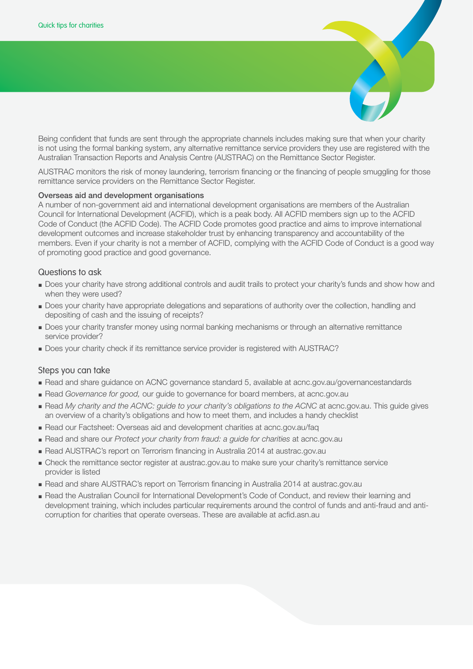

AUSTRAC monitors the risk of money laundering, terrorism financing or the financing of people smuggling for those remittance service providers on the Remittance Sector Register.

### Overseas aid and development organisations

A number of non-government aid and international development organisations are members of the Australian Council for International Development (ACFID), which is a peak body. All ACFID members sign up to the ACFID Code of Conduct (the ACFID Code). The ACFID Code promotes good practice and aims to improve international development outcomes and increase stakeholder trust by enhancing transparency and accountability of the members. Even if your charity is not a member of ACFID, complying with the ACFID Code of Conduct is a good way of promoting good practice and good governance.

### Questions to ask

- **■** Does your charity have strong additional controls and audit trails to protect your charity's funds and show how and when they were used?
- **■** Does your charity have appropriate delegations and separations of authority over the collection, handling and depositing of cash and the issuing of receipts?
- **■** Does your charity transfer money using normal banking mechanisms or through an alternative remittance service provider?
- **■** Does your charity check if its remittance service provider is registered with AUSTRAC?

- **■** Read and share guidance on ACNC governance standard 5, available at acnc.gov.au/governancestandards
- **■** Read *Governance for good,* our guide to governance for board members, at acnc.gov.au
- **■** Read *My charity and the ACNC: guide to your charity's obligations to the ACNC* at acnc.gov.au. This guide gives an overview of a charity's obligations and how to meet them, and includes a handy checklist
- **■** Read our Factsheet: Overseas aid and development charities at acnc.gov.au/faq
- **■** Read and share our *Protect your charity from fraud: a guide for charities* at acnc.gov.au
- **■** Read AUSTRAC's report on Terrorism financing in Australia 2014 at austrac.gov.au
- **■** Check the remittance sector register at austrac.gov.au to make sure your charity's remittance service provider is listed
- **■** Read and share AUSTRAC's report on Terrorism financing in Australia 2014 at austrac.gov.au
- **■** Read the Australian Council for International Development's Code of Conduct, and review their learning and development training, which includes particular requirements around the control of funds and anti-fraud and anticorruption for charities that operate overseas. These are available at acfid.asn.au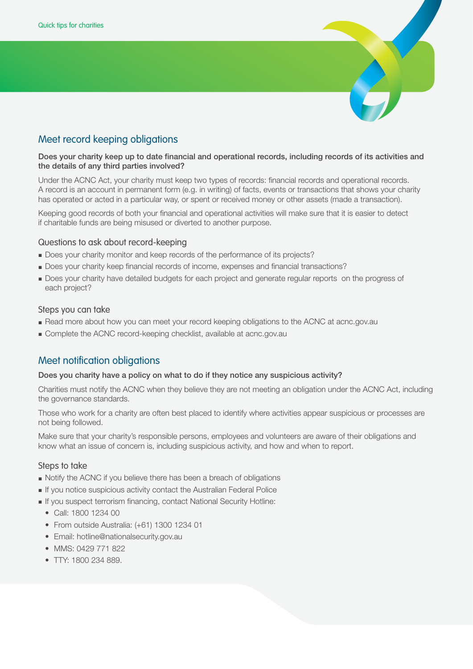

# Meet record keeping obligations

### Does your charity keep up to date financial and operational records, including records of its activities and the details of any third parties involved?

Under the ACNC Act, your charity must keep two types of records: financial records and operational records. A record is an account in permanent form (e.g. in writing) of facts, events or transactions that shows your charity has operated or acted in a particular way, or spent or received money or other assets (made a transaction).

Keeping good records of both your financial and operational activities will make sure that it is easier to detect if charitable funds are being misused or diverted to another purpose.

# Questions to ask about record-keeping

- **■** Does your charity monitor and keep records of the performance of its projects?
- **■** Does your charity keep financial records of income, expenses and financial transactions?
- **■** Does your charity have detailed budgets for each project and generate regular reports on the progress of each project?

# Steps you can take

- **■** Read more about how you can meet your record keeping obligations to the ACNC at acnc.gov.au
- **■** Complete the ACNC record-keeping checklist, available at acnc.gov.au

# Meet notification obligations

# Does you charity have a policy on what to do if they notice any suspicious activity?

Charities must notify the ACNC when they believe they are not meeting an obligation under the ACNC Act, including the governance standards.

Those who work for a charity are often best placed to identify where activities appear suspicious or processes are not being followed.

Make sure that your charity's responsible persons, employees and volunteers are aware of their obligations and know what an issue of concern is, including suspicious activity, and how and when to report.

# Steps to take

- **■** Notify the ACNC if you believe there has been a breach of obligations
- **■** If you notice suspicious activity contact the Australian Federal Police
- **■** If you suspect terrorism financing, contact National Security Hotline:
	- Call: 1800 1234 00
	- From outside Australia: (+61) 1300 1234 01
	- Email: hotline@nationalsecurity.gov.au
	- MMS: 0429 771 822
	- TTY: 1800 234 889.